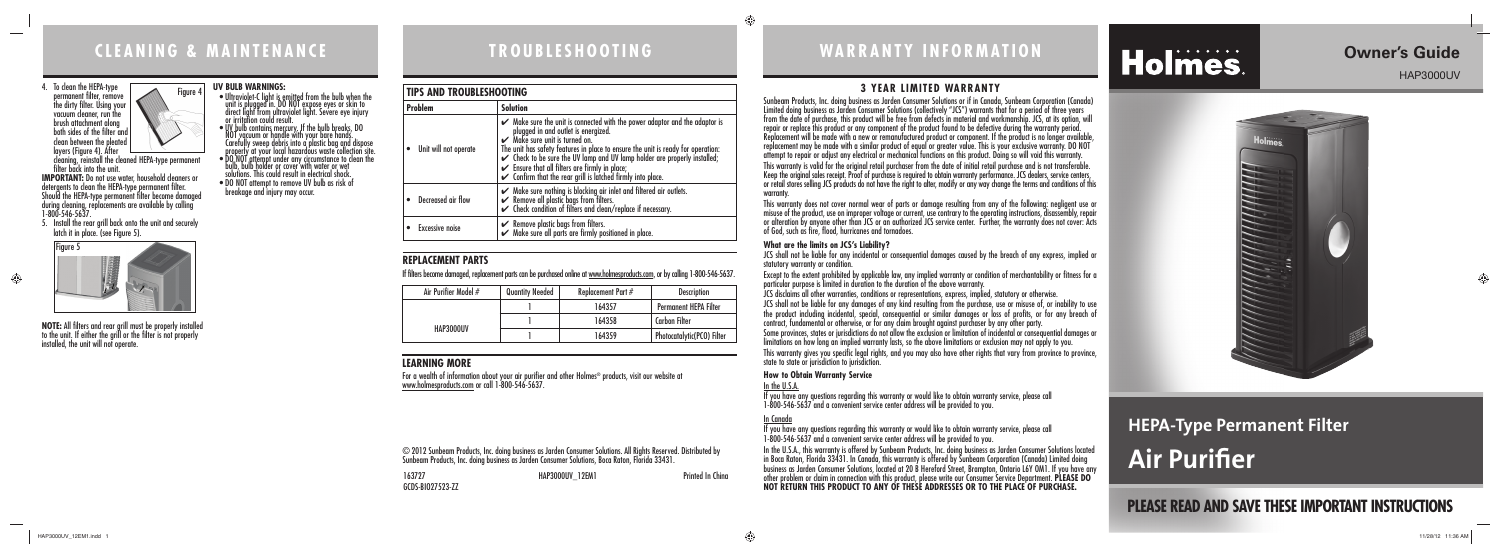# **LEARNING MORE**

For a wealth of information about your air purifier and other Holmes® products, visit our website at<br>www.holmesproducts.com or call 1-800-546-5637.

# **REPLACEMENT PARTS**

# **C L E A N I N G & M A I N T E N A N C E TROUBLESHOOTING WARRANTY INFORMATION**

# **3 YEAR LIMITED WARRANTY**

Sunbeam Products, Inc. doing business as Jarden Consumer Solutions or if in Canada, Sunbeam Corporation (Canada) Limited doing business as Jarden Consumer Solutions (collectively "JCS") warrants that for a period of three years from the date of purchase, this product will be free from defects in material and workmanship. JCS, at its option, will repair or replace this product or any component of the product found to be defective during the warranty period. Replacement will be made with a new or remanufactured product or component. If the product is no longer available, replacement may be made with a similar product of equal or greater value. This is your exclusive warranty. DO NOT attempt to repair or adjust any electrical or mechanical functions on this product. Doing so will void this warranty. This warranty is valid for the original retail purchaser from the date of initial retail purchase and is not transferable. Keep the original sales receipt. Proof of purchase is required to obtain warranty performance. JCS dealers, service centers, or retail stores selling JCS products do not have the right to alter, modify or any way change the terms and conditions of this

warranty.

This warranty does not cover normal wear of parts or damage resulting from any of the following: negligent use or misuse of the product, use on improper voltage or current, use contrary to the operating instructions, disassembly, repair or alteration by anyone other than JCS or an authorized JCS service center. Further, the warranty does not cover: Acts of God, such as fire, flood, hurricanes and tornadoes.

# **What are the limits on JCS's Liability?**

JCS shall not be liable for any incidental or consequential damages caused by the breach of any express, implied or

```
statutory warranty or condition.
```
Except to the extent prohibited by applicable law, any implied warranty or condition of merchantability or fitness for a particular purpose is limited in duration to the duration of the above warranty.

JCS disclaims all other warranties, conditions or representations, express, implied, statutory or otherwise.

JCS shall not be liable for any damages of any kind resulting from the purchase, use or misuse of, or inability to use the product including incidental, special, consequential or similar damages or loss of profits, or for any breach of contract, fundamental or otherwise, or for any claim brought against purchaser by any other party.

**IMPORTANT:** Do not use water, household cleaners or detergents to clean the HEPA-type permanent filter. Should the HEPA-type permanent filter become damaged during cleaning, replacements are available by calling 1-800-546-5637.

> Some provinces, states or jurisdictions do not allow the exclusion or limitation of incidental or consequential damages or limitations on how long an implied warranty lasts, so the above limitations or exclusion may not apply to you.

> This warranty gives you specific legal rights, and you may also have other rights that vary from province to province, state to state or jurisdiction to jurisdiction.

# **How to Obtain Warranty Service**

In the U.S.A. If you have any questions regarding this warranty or would like to obtain warranty service, please call 1-800-546-5637 and a convenient service center address will be provided to you.

- $\bullet$  Ultraviolet-C light is emitted from the bulb when the unit is plugged in. DO NOT expose eyes or skin to direct light from ultraviolet light. Severe eye injury or irritation could result.
- $\bullet$  UV bulb contains mercury. If the bulb breaks, DO NOT vacuum or handle with your bare hands. Carefully sweep debris into a plastic bag and dispose
- properly at your local hazardous waste collection site. • DO NOT attempt under any circumstance to clean the
- bulb, bulb holder or cover with water or wet solutions. This could result in electrical shock. • DO NOT attempt to remove UV bulb as risk of
- breakage and injury may occur.

# In Canada

# **HEPA-Type Permanent Filter Air Purifier**

If you have any questions regarding this warranty or would like to obtain warranty service, please call 1-800-546-5637 and a convenient service center address will be provided to you.



In the U.S.A., this warranty is offered by Sunbeam Products, Inc. doing business as Jarden Consumer Solutions located in Boca Raton, Florida 33431. In Canada, this warranty is offered by Sunbeam Corporation (Canada) Limited doing business as Jarden Consumer Solutions, located at 20 B Hereford Street, Brampton, Ontario L6Y OM1. If you have any other problem or claim in connection with this product, please write our Consumer Service Department. **PLEASE DO NOT RETURN THIS PRODUCT TO ANY OF THESE ADDRESSES OR TO THE PLACE OF PURCHASE.** 

◈

# Holmes.

163727 HAP3000UV\_12EM1 Printed In China GCDS-BIO27523-ZZ

© 2012 Sunbeam Products, Inc. doing business as Jarden Consumer Solutions. All Rights Reserved. Distributed by Sunbeam Products, Inc. doing business as Jarden Consumer Solutions, Boca Raton, Florida 33431.

# **TIPS AND TROUBLESHOOTING**

| <b>Problem</b>         | <b>Solution</b>                                                                                                                                                                                                                                                                                                                                                                                                         |  |
|------------------------|-------------------------------------------------------------------------------------------------------------------------------------------------------------------------------------------------------------------------------------------------------------------------------------------------------------------------------------------------------------------------------------------------------------------------|--|
| Unit will not operate  | $\swarrow$ Make sure the unit is connected with the power adaptor and the adaptor is<br>plugged in and outlet is energized.<br>Make sure unit is turned on.<br>The unit has safety features in place to ensure the unit is ready for operation:<br>$\checkmark$ Check to be sure the UV lamp and UV lamp holder are properly installed;<br>$\checkmark$ Ensure that all filters are firmly in place;<br>$\checkmark$ Co |  |
| Decreased air flow     | ► Make sure nothing is blocking air inlet and filtered air outlets.<br>► Remove all plastic bags from filters.<br>► Check condition of filters and clean/replace if necessary.                                                                                                                                                                                                                                          |  |
| <b>Excessive noise</b> | ► Remove plastic bags from filters.<br>► Make sure all parts are firmly positioned in place.                                                                                                                                                                                                                                                                                                                            |  |

4. To clean the HEPA-type permanent filter, remove the dirty filter. Using your vacuum cleaner, run the

 $\hspace{0.1mm}-\hspace{0.1mm}$ 

 $\bigoplus$ 

layers (Figure 4). After cleaning, reinstall the cleaned HEPA-type permanent filter back into the unit.

5. Install the rear grill back onto the unit and securely latch it in place. (see Figure 5).

**NOTE:** All filters and rear grill must be properly installed to the unit. If either the grill or the filter is not properly installed, the unit will not operate.

### **UV BULB WARNINGS:**



If filters become damaged, replacement parts can be purchased online at www.holmesproducts.com, or by calling 1-800-546-5637.

# **PLEASE READ AND SAVE THESE IMPORTANT INSTRUCTIONS**

⊕

# **Owner's Guide**

HAP3000UV



| Air Purifier Model # | <b>Quantity Needed</b> | Replacement Part $#$ | <b>Description</b>           |
|----------------------|------------------------|----------------------|------------------------------|
|                      |                        | 164357               | <b>Permanent HEPA Filter</b> |
|                      |                        | 164358               | <b>Carbon Filter</b>         |
| HAP3000UV            |                        | 164359               | Photocatalytic(PCO) Filter   |